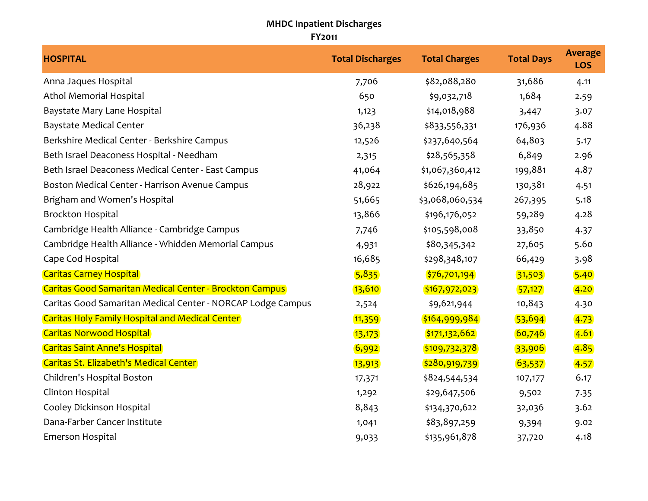## **MHDC Inpatient Discharges FY2011**

| <b>HOSPITAL</b>                                             | <b>Total Discharges</b> | <b>Total Charges</b> | <b>Total Days</b> | <b>Average</b><br><b>LOS</b> |
|-------------------------------------------------------------|-------------------------|----------------------|-------------------|------------------------------|
| Anna Jaques Hospital                                        | 7,706                   | \$82,088,280         | 31,686            | 4.11                         |
| Athol Memorial Hospital                                     | 650                     | \$9,032,718          | 1,684             | 2.59                         |
| Baystate Mary Lane Hospital                                 | 1,123                   | \$14,018,988         | 3,447             | 3.07                         |
| <b>Baystate Medical Center</b>                              | 36,238                  | \$833,556,331        | 176,936           | 4.88                         |
| Berkshire Medical Center - Berkshire Campus                 | 12,526                  | \$237,640,564        | 64,803            | 5.17                         |
| Beth Israel Deaconess Hospital - Needham                    | 2,315                   | \$28,565,358         | 6,849             | 2.96                         |
| Beth Israel Deaconess Medical Center - East Campus          | 41,064                  | \$1,067,360,412      | 199,881           | 4.87                         |
| Boston Medical Center - Harrison Avenue Campus              | 28,922                  | \$626,194,685        | 130,381           | 4.51                         |
| Brigham and Women's Hospital                                | 51,665                  | \$3,068,060,534      | 267,395           | 5.18                         |
| <b>Brockton Hospital</b>                                    | 13,866                  | \$196,176,052        | 59,289            | 4.28                         |
| Cambridge Health Alliance - Cambridge Campus                | 7,746                   | \$105,598,008        | 33,850            | 4.37                         |
| Cambridge Health Alliance - Whidden Memorial Campus         | 4,931                   | \$80,345,342         | 27,605            | 5.60                         |
| Cape Cod Hospital                                           | 16,685                  | \$298,348,107        | 66,429            | 3.98                         |
| <b>Caritas Carney Hospital</b>                              | 5,835                   | \$76,701,194         | 31,503            | 5.40                         |
| Caritas Good Samaritan Medical Center - Brockton Campus     | 13,610                  | \$167,972,023        | 57,127            | 4.20                         |
| Caritas Good Samaritan Medical Center - NORCAP Lodge Campus | 2,524                   | \$9,621,944          | 10,843            | 4.30                         |
| <b>Caritas Holy Family Hospital and Medical Center</b>      | 11,359                  | \$164,999,984        | 53,694            | 4.73                         |
| <b>Caritas Norwood Hospital</b>                             | 13,173                  | \$171,132,662        | 60,746            | 4.61                         |
| <b>Caritas Saint Anne's Hospital</b>                        | 6,992                   | \$109,732,378        | 33,906            | 4.85                         |
| Caritas St. Elizabeth's Medical Center                      | 13,913                  | \$280,919,739        | 63,537            | 4.57                         |
| Children's Hospital Boston                                  | 17,371                  | \$824,544,534        | 107,177           | 6.17                         |
| Clinton Hospital                                            | 1,292                   | \$29,647,506         | 9,502             | 7.35                         |
| Cooley Dickinson Hospital                                   | 8,843                   | \$134,370,622        | 32,036            | 3.62                         |
| Dana-Farber Cancer Institute                                | 1,041                   | \$83,897,259         | 9,394             | 9.02                         |
| Emerson Hospital                                            | 9,033                   | \$135,961,878        | 37,720            | 4.18                         |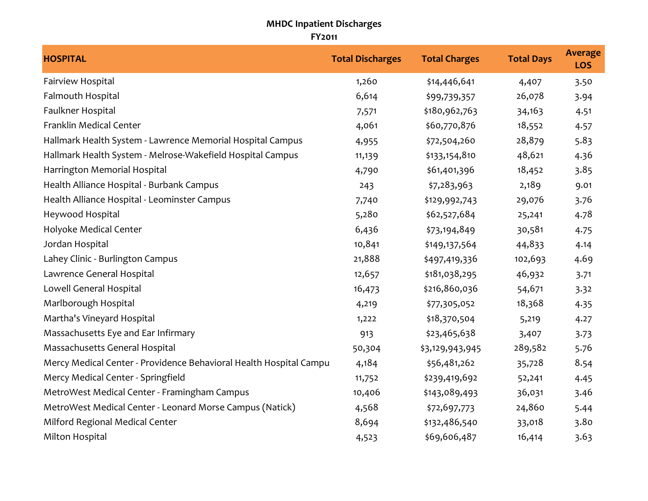## **MHDC Inpatient Discharges FY2011**

| <b>HOSPITAL</b>                                                    | <b>Total Discharges</b> | <b>Total Charges</b> | <b>Total Days</b> | <b>Average</b><br><b>LOS</b> |
|--------------------------------------------------------------------|-------------------------|----------------------|-------------------|------------------------------|
| Fairview Hospital                                                  | 1,260                   | \$14,446,641         | 4,407             | 3.50                         |
| Falmouth Hospital                                                  | 6,614                   | \$99,739,357         | 26,078            | 3.94                         |
| Faulkner Hospital                                                  | 7,571                   | \$180,962,763        | 34,163            | 4.51                         |
| Franklin Medical Center                                            | 4,061                   | \$60,770,876         | 18,552            | 4.57                         |
| Hallmark Health System - Lawrence Memorial Hospital Campus         | 4,955                   | \$72,504,260         | 28,879            | 5.83                         |
| Hallmark Health System - Melrose-Wakefield Hospital Campus         | 11,139                  | \$133,154,810        | 48,621            | 4.36                         |
| Harrington Memorial Hospital                                       | 4,790                   | \$61,401,396         | 18,452            | 3.85                         |
| Health Alliance Hospital - Burbank Campus                          | 243                     | \$7,283,963          | 2,189             | 9.01                         |
| Health Alliance Hospital - Leominster Campus                       | 7,740                   | \$129,992,743        | 29,076            | 3.76                         |
| Heywood Hospital                                                   | 5,280                   | \$62,527,684         | 25,241            | 4.78                         |
| Holyoke Medical Center                                             | 6,436                   | \$73,194,849         | 30,581            | 4.75                         |
| Jordan Hospital                                                    | 10,841                  | \$149,137,564        | 44,833            | 4.14                         |
| Lahey Clinic - Burlington Campus                                   | 21,888                  | \$497,419,336        | 102,693           | 4.69                         |
| Lawrence General Hospital                                          | 12,657                  | \$181,038,295        | 46,932            | 3.71                         |
| Lowell General Hospital                                            | 16,473                  | \$216,860,036        | 54,671            | 3.32                         |
| Marlborough Hospital                                               | 4,219                   | \$77,305,052         | 18,368            | 4.35                         |
| Martha's Vineyard Hospital                                         | 1,222                   | \$18,370,504         | 5,219             | 4.27                         |
| Massachusetts Eye and Ear Infirmary                                | 913                     | \$23,465,638         | 3,407             | 3.73                         |
| Massachusetts General Hospital                                     | 50,304                  | \$3,129,943,945      | 289,582           | 5.76                         |
| Mercy Medical Center - Providence Behavioral Health Hospital Campu | 4,184                   | \$56,481,262         | 35,728            | 8.54                         |
| Mercy Medical Center - Springfield                                 | 11,752                  | \$239,419,692        | 52,241            | 4.45                         |
| MetroWest Medical Center - Framingham Campus                       | 10,406                  | \$143,089,493        | 36,031            | 3.46                         |
| MetroWest Medical Center - Leonard Morse Campus (Natick)           | 4,568                   | \$72,697,773         | 24,860            | 5.44                         |
| Milford Regional Medical Center                                    | 8,694                   | \$132,486,540        | 33,018            | 3.80                         |
| Milton Hospital                                                    | 4,523                   | \$69,606,487         | 16,414            | 3.63                         |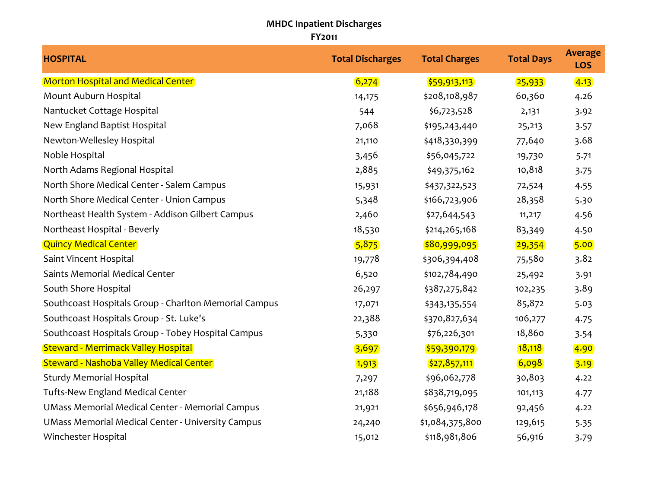## **MHDC Inpatient Discharges FY2011**

| <b>HOSPITAL</b>                                          | <b>Total Discharges</b> | <b>Total Charges</b> | <b>Total Days</b> | <b>Average</b><br><b>LOS</b> |
|----------------------------------------------------------|-------------------------|----------------------|-------------------|------------------------------|
| <b>Morton Hospital and Medical Center</b>                | 6,274                   | \$59,913,113         | 25,933            | 4.13                         |
| Mount Auburn Hospital                                    | 14,175                  | \$208,108,987        | 60,360            | 4.26                         |
| Nantucket Cottage Hospital                               | 544                     | \$6,723,528          | 2,131             | 3.92                         |
| New England Baptist Hospital                             | 7,068                   | \$195,243,440        | 25,213            | 3.57                         |
| Newton-Wellesley Hospital                                | 21,110                  | \$418,330,399        | 77,640            | 3.68                         |
| Noble Hospital                                           | 3,456                   | \$56,045,722         | 19,730            | 5.71                         |
| North Adams Regional Hospital                            | 2,885                   | \$49,375,162         | 10,818            | 3.75                         |
| North Shore Medical Center - Salem Campus                | 15,931                  | \$437,322,523        | 72,524            | 4.55                         |
| North Shore Medical Center - Union Campus                | 5,348                   | \$166,723,906        | 28,358            | 5.30                         |
| Northeast Health System - Addison Gilbert Campus         | 2,460                   | \$27,644,543         | 11,217            | 4.56                         |
| Northeast Hospital - Beverly                             | 18,530                  | \$214,265,168        | 83,349            | 4.50                         |
| <b>Quincy Medical Center</b>                             | 5,875                   | \$80,999,095         | 29,354            | 5.00                         |
| Saint Vincent Hospital                                   | 19,778                  | \$306,394,408        | 75,580            | 3.82                         |
| Saints Memorial Medical Center                           | 6,520                   | \$102,784,490        | 25,492            | 3.91                         |
| South Shore Hospital                                     | 26,297                  | \$387,275,842        | 102,235           | 3.89                         |
| Southcoast Hospitals Group - Charlton Memorial Campus    | 17,071                  | \$343,135,554        | 85,872            | 5.03                         |
| Southcoast Hospitals Group - St. Luke's                  | 22,388                  | \$370,827,634        | 106,277           | 4.75                         |
| Southcoast Hospitals Group - Tobey Hospital Campus       | 5,330                   | \$76,226,301         | 18,860            | 3.54                         |
| <b>Steward - Merrimack Valley Hospital</b>               | 3,697                   | \$59,390,179         | 18,118            | 4.90                         |
| <b>Steward - Nashoba Valley Medical Center</b>           | 1,913                   | \$27,857,111         | 6,098             | 3.19                         |
| <b>Sturdy Memorial Hospital</b>                          | 7,297                   | \$96,062,778         | 30,803            | 4.22                         |
| <b>Tufts-New England Medical Center</b>                  | 21,188                  | \$838,719,095        | 101,113           | 4.77                         |
| <b>UMass Memorial Medical Center - Memorial Campus</b>   | 21,921                  | \$656,946,178        | 92,456            | 4.22                         |
| <b>UMass Memorial Medical Center - University Campus</b> | 24,240                  | \$1,084,375,800      | 129,615           | 5.35                         |
| Winchester Hospital                                      | 15,012                  | \$118,981,806        | 56,916            | 3.79                         |